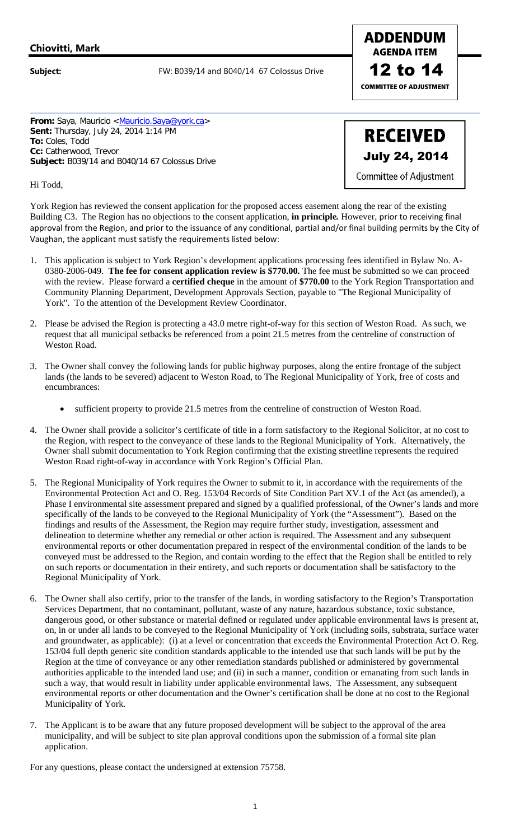## **Chiovitti, Mark**

**Subject:** FW: B039/14 and B040/14 67 Colossus Drive

**COMMITTEE OF ADJUSTMENT**  12 to 14

**ADDENDUM AGENDA ITEM** 

**From:** Saya, Mauricio <Mauricio.Saya@york.ca> **Sent:** Thursday, July 24, 2014 1:14 PM **To:** Coles, Todd **Cc:** Catherwood, Trevor **Subject:** B039/14 and B040/14 67 Colossus Drive

**RECEIVED** July 24, 2014 **Committee of Adjustment** 

Hi Todd,

York Region has reviewed the consent application for the proposed access easement along the rear of the existing Building C3. The Region has no objections to the consent application, **in principle***.* However, prior to receiving final approval from the Region, and prior to the issuance of any conditional, partial and/or final building permits by the City of Vaughan, the applicant must satisfy the requirements listed below:

- 1. This application is subject to York Region's development applications processing fees identified in Bylaw No. A-0380-2006-049. **The fee for consent application review is \$770.00***.* The fee must be submitted so we can proceed with the review. Please forward a **certified cheque** in the amount of **\$770.00** to the York Region Transportation and Community Planning Department, Development Approvals Section, payable to "The Regional Municipality of York". To the attention of the Development Review Coordinator.
- 2. Please be advised the Region is protecting a 43.0 metre right-of-way for this section of Weston Road. As such, we request that all municipal setbacks be referenced from a point 21.5 metres from the centreline of construction of Weston Road.
- 3. The Owner shall convey the following lands for public highway purposes, along the entire frontage of the subject lands (the lands to be severed) adjacent to Weston Road, to The Regional Municipality of York, free of costs and encumbrances:
	- sufficient property to provide 21.5 metres from the centreline of construction of Weston Road.
- 4. The Owner shall provide a solicitor's certificate of title in a form satisfactory to the Regional Solicitor, at no cost to the Region, with respect to the conveyance of these lands to the Regional Municipality of York. Alternatively, the Owner shall submit documentation to York Region confirming that the existing streetline represents the required Weston Road right-of-way in accordance with York Region's Official Plan.
- 5. The Regional Municipality of York requires the Owner to submit to it, in accordance with the requirements of the Environmental Protection Act and O. Reg. 153/04 Records of Site Condition Part XV.1 of the Act (as amended), a Phase I environmental site assessment prepared and signed by a qualified professional, of the Owner's lands and more specifically of the lands to be conveyed to the Regional Municipality of York (the "Assessment"). Based on the findings and results of the Assessment, the Region may require further study, investigation, assessment and delineation to determine whether any remedial or other action is required. The Assessment and any subsequent environmental reports or other documentation prepared in respect of the environmental condition of the lands to be conveyed must be addressed to the Region, and contain wording to the effect that the Region shall be entitled to rely on such reports or documentation in their entirety, and such reports or documentation shall be satisfactory to the Regional Municipality of York.
- 6. The Owner shall also certify, prior to the transfer of the lands, in wording satisfactory to the Region's Transportation Services Department, that no contaminant, pollutant, waste of any nature, hazardous substance, toxic substance, dangerous good, or other substance or material defined or regulated under applicable environmental laws is present at, on, in or under all lands to be conveyed to the Regional Municipality of York (including soils, substrata, surface water and groundwater, as applicable): (i) at a level or concentration that exceeds the Environmental Protection Act O. Reg. 153/04 full depth generic site condition standards applicable to the intended use that such lands will be put by the Region at the time of conveyance or any other remediation standards published or administered by governmental authorities applicable to the intended land use; and (ii) in such a manner, condition or emanating from such lands in such a way, that would result in liability under applicable environmental laws. The Assessment, any subsequent environmental reports or other documentation and the Owner's certification shall be done at no cost to the Regional Municipality of York.
- 7. The Applicant is to be aware that any future proposed development will be subject to the approval of the area municipality, and will be subject to site plan approval conditions upon the submission of a formal site plan application.

For any questions, please contact the undersigned at extension 75758.